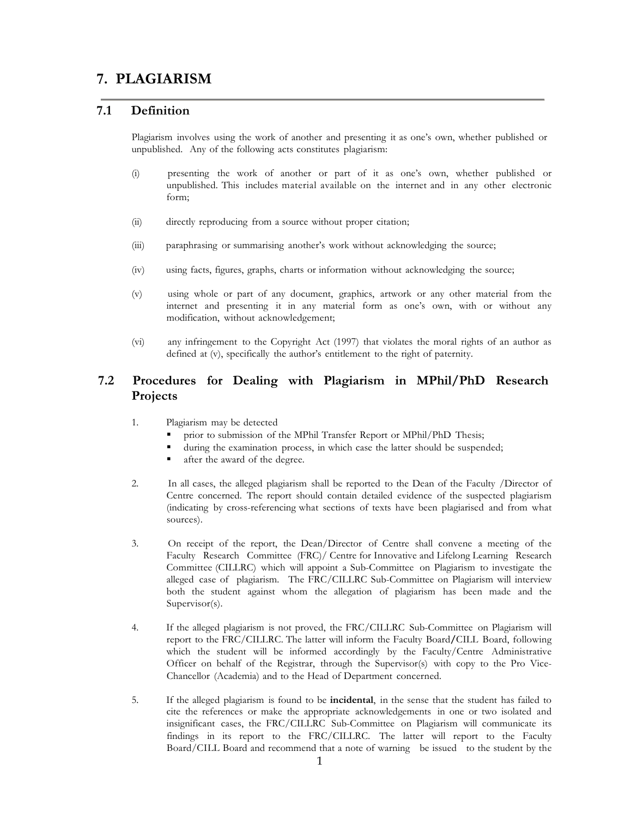# **7. PLAGIARISM**

### **7.1 Definition**

Plagiarism involves using the work of another and presenting it as one's own, whether published or unpublished. Any of the following acts constitutes plagiarism:

- (i) presenting the work of another or part of it as one's own, whether published or unpublished. This includes material available on the internet and in any other electronic form;
- (ii) directly reproducing from a source without proper citation;
- (iii) paraphrasing or summarising another's work without acknowledging the source;
- (iv) using facts, figures, graphs, charts or information without acknowledging the source;
- (v) using whole or part of any document, graphics, artwork or any other material from the internet and presenting it in any material form as one's own, with or without any modification, without acknowledgement;
- (vi) any infringement to the Copyright Act (1997) that violates the moral rights of an author as defined at (v), specifically the author's entitlement to the right of paternity.

## **7.2 Procedures for Dealing with Plagiarism in MPhil/PhD Research Projects**

- 1. Plagiarism may be detected
	- prior to submission of the MPhil Transfer Report or MPhil/PhD Thesis;
	- during the examination process, in which case the latter should be suspended;
	- after the award of the degree.
- 2. In all cases, the alleged plagiarism shall be reported to the Dean of the Faculty /Director of Centre concerned. The report should contain detailed evidence of the suspected plagiarism (indicating by cross-referencing what sections of texts have been plagiarised and from what sources).
- 3. On receipt of the report, the Dean/Director of Centre shall convene a meeting of the Faculty Research Committee (FRC)/ Centre for Innovative and Lifelong Learning Research Committee (CILLRC) which will appoint a Sub-Committee on Plagiarism to investigate the alleged case of plagiarism. The FRC/CILLRC Sub-Committee on Plagiarism will interview both the student against whom the allegation of plagiarism has been made and the Supervisor(s).
- 4. If the alleged plagiarism is not proved, the FRC/CILLRC Sub-Committee on Plagiarism will report to the FRC/CILLRC. The latter will inform the Faculty Board**/**CILL Board, following which the student will be informed accordingly by the Faculty/Centre Administrative Officer on behalf of the Registrar, through the Supervisor(s) with copy to the Pro Vice-Chancellor (Academia) and to the Head of Department concerned.
- 5. If the alleged plagiarism is found to be **incidental**, in the sense that the student has failed to cite the references or make the appropriate acknowledgements in one or two isolated and insignificant cases, the FRC/CILLRC Sub-Committee on Plagiarism will communicate its findings in its report to the FRC/CILLRC. The latter will report to the Faculty Board/CILL Board and recommend that a note of warning be issued to the student by the